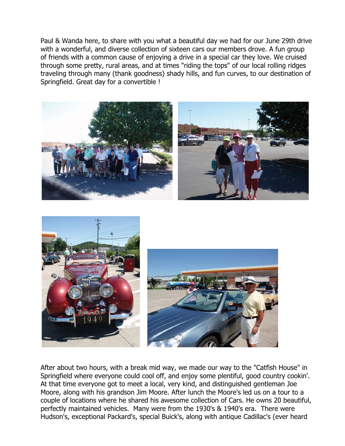Paul & Wanda here, to share with you what a beautiful day we had for our June 29th drive with a wonderful, and diverse collection of sixteen cars our members drove. A fun group of friends with a common cause of enjoying a drive in a special car they love. We cruised through some pretty, rural areas, and at times "riding the tops" of our local rolling ridges traveling through many (thank goodness) shady hills, and fun curves, to our destination of Springfield. Great day for a convertible !



After about two hours, with a break mid way, we made our way to the "Catfish House" in Springfield where everyone could cool off, and enjoy some plentiful, good country cookin'. At that time everyone got to meet a local, very kind, and distinguished gentleman Joe Moore, along with his grandson Jim Moore. After lunch the Moore's led us on a tour to a couple of locations where he shared his awesome collection of Cars. He owns 20 beautiful, perfectly maintained vehicles. Many were from the 1930's & 1940's era. There were Hudson's, exceptional Packard's, special Buick's, along with antique Cadillac's (ever heard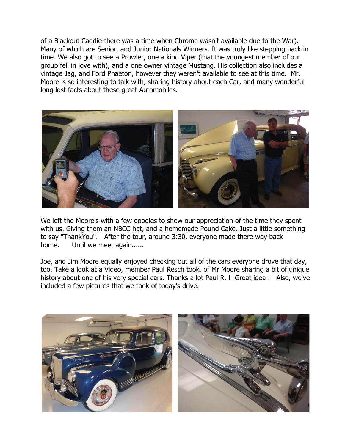of a Blackout Caddie-there was a time when Chrome wasn't available due to the War). Many of which are Senior, and Junior Nationals Winners. It was truly like stepping back in time. We also got to see a Prowler, one a kind Viper (that the youngest member of our group fell in love with), and a one owner vintage Mustang. His collection also includes a vintage Jag, and Ford Phaeton, however they weren't available to see at this time. Mr. Moore is so interesting to talk with, sharing history about each Car, and many wonderful long lost facts about these great Automobiles.



We left the Moore's with a few goodies to show our appreciation of the time they spent with us. Giving them an NBCC hat, and a homemade Pound Cake. Just a little something to say "ThankYou". After the tour, around 3:30, everyone made there way back home. Until we meet again......

Joe, and Jim Moore equally enjoyed checking out all of the cars everyone drove that day, too. Take a look at a Video, member Paul Resch took, of Mr Moore sharing a bit of unique history about one of his very special cars. Thanks a lot Paul R. ! Great idea ! Also, we've included a few pictures that we took of today's drive.